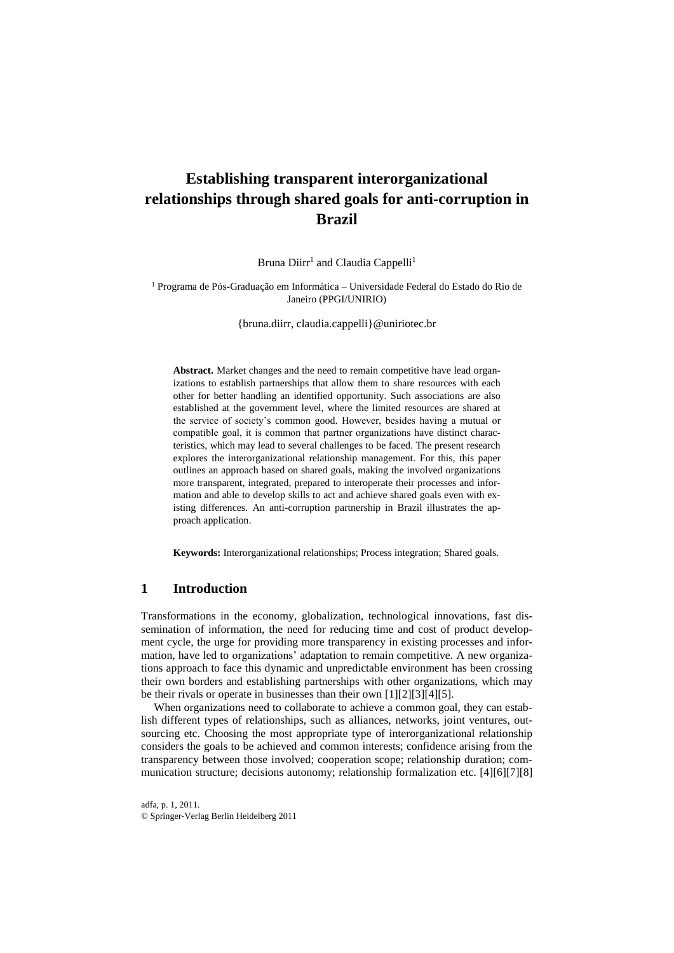# **Establishing transparent interorganizational relationships through shared goals for anti-corruption in Brazil**

Bruna Diirr<sup>1</sup> and Claudia Cappelli<sup>1</sup>

<sup>1</sup> Programa de Pós-Graduação em Informática – Universidade Federal do Estado do Rio de Janeiro (PPGI/UNIRIO)

{bruna.diirr, claudia.cappelli}@uniriotec.br

**Abstract.** Market changes and the need to remain competitive have lead organizations to establish partnerships that allow them to share resources with each other for better handling an identified opportunity. Such associations are also established at the government level, where the limited resources are shared at the service of society's common good. However, besides having a mutual or compatible goal, it is common that partner organizations have distinct characteristics, which may lead to several challenges to be faced. The present research explores the interorganizational relationship management. For this, this paper outlines an approach based on shared goals, making the involved organizations more transparent, integrated, prepared to interoperate their processes and information and able to develop skills to act and achieve shared goals even with existing differences. An anti-corruption partnership in Brazil illustrates the approach application.

**Keywords:** Interorganizational relationships; Process integration; Shared goals.

#### **1 Introduction**

Transformations in the economy, globalization, technological innovations, fast dissemination of information, the need for reducing time and cost of product development cycle, the urge for providing more transparency in existing processes and information, have led to organizations' adaptation to remain competitive. A new organizations approach to face this dynamic and unpredictable environment has been crossing their own borders and establishing partnerships with other organizations, which may be their rivals or operate in businesses than their own [\[1\]](#page-9-0)[\[2\]](#page-9-1)[\[3\]](#page-9-2)[\[4\]](#page-9-3)[\[5\]](#page-9-4).

When organizations need to collaborate to achieve a common goal, they can establish different types of relationships, such as alliances, networks, joint ventures, outsourcing etc. Choosing the most appropriate type of interorganizational relationship considers the goals to be achieved and common interests; confidence arising from the transparency between those involved; cooperation scope; relationship duration; communication structure; decisions autonomy; relationship formalization etc. [\[4\]](#page-9-3)[\[6\]](#page-9-5)[\[7\]](#page-9-6)[\[8\]](#page-9-7)

adfa, p. 1, 2011. © Springer-Verlag Berlin Heidelberg 2011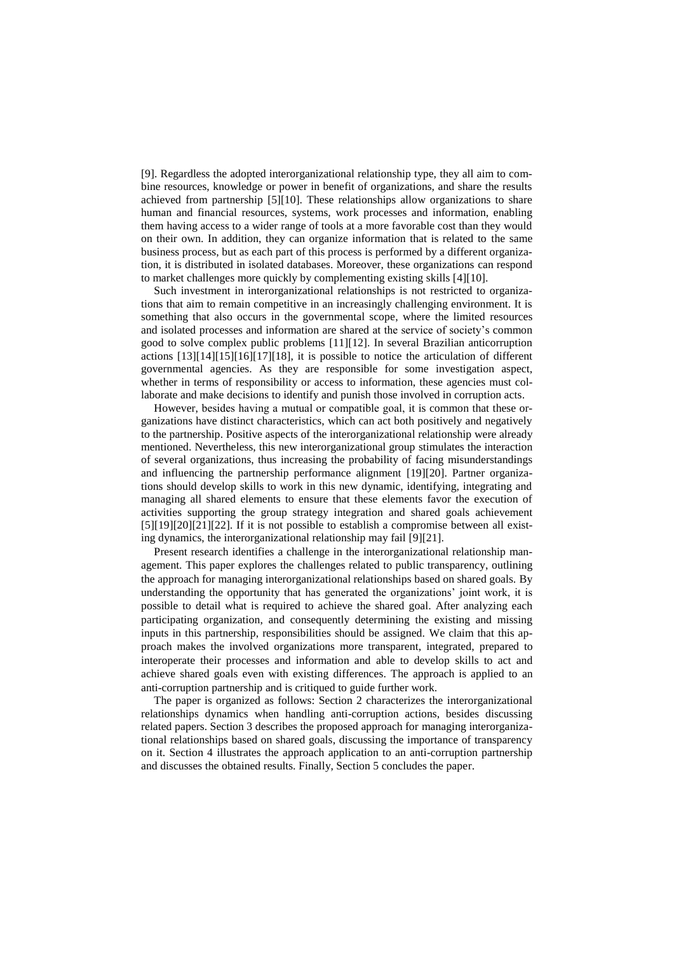[\[9\]](#page-9-8). Regardless the adopted interorganizational relationship type, they all aim to combine resources, knowledge or power in benefit of organizations, and share the results achieved from partnership [\[5\]](#page-9-4)[\[10\]](#page-9-9). These relationships allow organizations to share human and financial resources, systems, work processes and information, enabling them having access to a wider range of tools at a more favorable cost than they would on their own. In addition, they can organize information that is related to the same business process, but as each part of this process is performed by a different organization, it is distributed in isolated databases. Moreover, these organizations can respond to market challenges more quickly by complementing existing skills [\[4\]](#page-9-3)[\[10\]](#page-9-9).

Such investment in interorganizational relationships is not restricted to organizations that aim to remain competitive in an increasingly challenging environment. It is something that also occurs in the governmental scope, where the limited resources and isolated processes and information are shared at the service of society's common good to solve complex public problems [\[11\]](#page-9-10)[\[12\]](#page-10-0). In several Brazilian anticorruption actions [\[13\]](#page-10-1)[\[14\]](#page-10-2)[\[15\]](#page-10-3)[\[16\]](#page-10-4)[\[17\]](#page-10-5)[\[18\]](#page-10-6), it is possible to notice the articulation of different governmental agencies. As they are responsible for some investigation aspect, whether in terms of responsibility or access to information, these agencies must collaborate and make decisions to identify and punish those involved in corruption acts.

However, besides having a mutual or compatible goal, it is common that these organizations have distinct characteristics, which can act both positively and negatively to the partnership. Positive aspects of the interorganizational relationship were already mentioned. Nevertheless, this new interorganizational group stimulates the interaction of several organizations, thus increasing the probability of facing misunderstandings and influencing the partnership performance alignment [\[19\]](#page-10-7)[\[20\]](#page-10-8). Partner organizations should develop skills to work in this new dynamic, identifying, integrating and managing all shared elements to ensure that these elements favor the execution of activities supporting the group strategy integration and shared goals achievement [\[5\]](#page-9-4)[\[19\]](#page-10-7)[\[20\]](#page-10-8)[\[21\]](#page-10-9)[\[22\]](#page-10-10). If it is not possible to establish a compromise between all existing dynamics, the interorganizational relationship may fail [\[9\]](#page-9-8)[\[21\]](#page-10-9).

Present research identifies a challenge in the interorganizational relationship management. This paper explores the challenges related to public transparency, outlining the approach for managing interorganizational relationships based on shared goals. By understanding the opportunity that has generated the organizations' joint work, it is possible to detail what is required to achieve the shared goal. After analyzing each participating organization, and consequently determining the existing and missing inputs in this partnership, responsibilities should be assigned. We claim that this approach makes the involved organizations more transparent, integrated, prepared to interoperate their processes and information and able to develop skills to act and achieve shared goals even with existing differences. The approach is applied to an anti-corruption partnership and is critiqued to guide further work.

The paper is organized as follows: Section 2 characterizes the interorganizational relationships dynamics when handling anti-corruption actions, besides discussing related papers. Section 3 describes the proposed approach for managing interorganizational relationships based on shared goals, discussing the importance of transparency on it. Section 4 illustrates the approach application to an anti-corruption partnership and discusses the obtained results. Finally, Section 5 concludes the paper.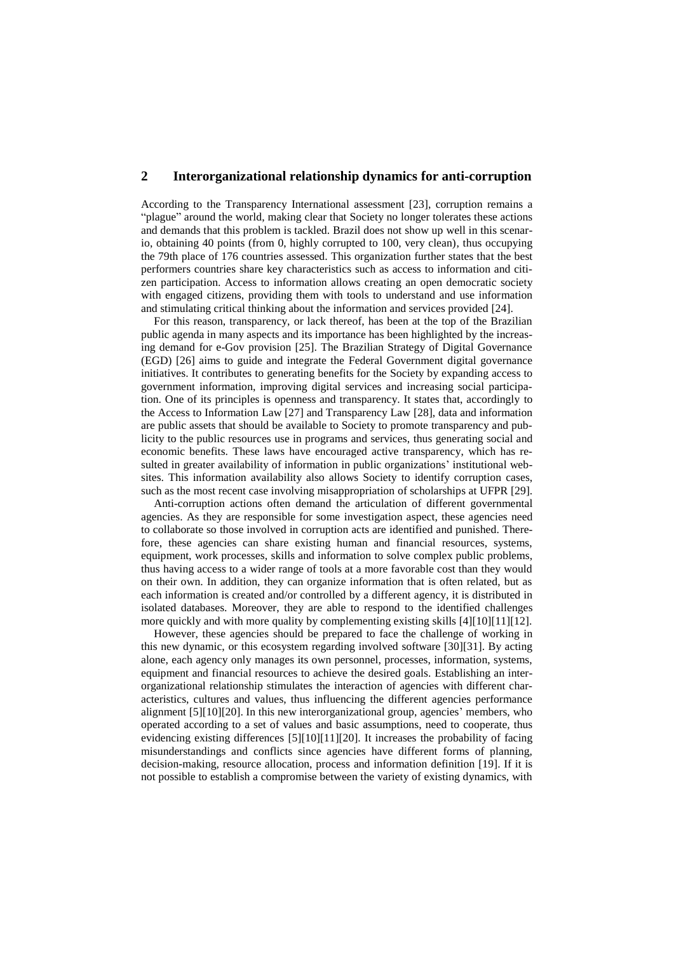# **2 Interorganizational relationship dynamics for anti-corruption**

According to the Transparency International assessment [\[23\]](#page-10-11), corruption remains a "plague" around the world, making clear that Society no longer tolerates these actions and demands that this problem is tackled. Brazil does not show up well in this scenario, obtaining 40 points (from 0, highly corrupted to 100, very clean), thus occupying the 79th place of 176 countries assessed. This organization further states that the best performers countries share key characteristics such as access to information and citizen participation. Access to information allows creating an open democratic society with engaged citizens, providing them with tools to understand and use information and stimulating critical thinking about the information and services provided [\[24\]](#page-10-12).

For this reason, transparency, or lack thereof, has been at the top of the Brazilian public agenda in many aspects and its importance has been highlighted by the increasing demand for e-Gov provision [\[25\]](#page-10-13). The Brazilian Strategy of Digital Governance (EGD) [\[26\]](#page-10-14) aims to guide and integrate the Federal Government digital governance initiatives. It contributes to generating benefits for the Society by expanding access to government information, improving digital services and increasing social participation. One of its principles is openness and transparency. It states that, accordingly to the Access to Information Law [\[27\]](#page-10-15) and Transparency Law [\[28\]](#page-10-16), data and information are public assets that should be available to Society to promote transparency and publicity to the public resources use in programs and services, thus generating social and economic benefits. These laws have encouraged active transparency, which has resulted in greater availability of information in public organizations' institutional websites. This information availability also allows Society to identify corruption cases, such as the most recent case involving misappropriation of scholarships at UFPR [\[29\]](#page-10-17).

Anti-corruption actions often demand the articulation of different governmental agencies. As they are responsible for some investigation aspect, these agencies need to collaborate so those involved in corruption acts are identified and punished. Therefore, these agencies can share existing human and financial resources, systems, equipment, work processes, skills and information to solve complex public problems, thus having access to a wider range of tools at a more favorable cost than they would on their own. In addition, they can organize information that is often related, but as each information is created and/or controlled by a different agency, it is distributed in isolated databases. Moreover, they are able to respond to the identified challenges more quickly and with more quality by complementing existing skills [\[4\]](#page-9-3)[\[10\]](#page-9-9)[\[11\]](#page-9-10)[\[12\]](#page-10-0).

However, these agencies should be prepared to face the challenge of working in this new dynamic, or this ecosystem regarding involved software [\[30\]](#page-10-18)[\[31\]](#page-10-19). By acting alone, each agency only manages its own personnel, processes, information, systems, equipment and financial resources to achieve the desired goals. Establishing an interorganizational relationship stimulates the interaction of agencies with different characteristics, cultures and values, thus influencing the different agencies performance alignment [\[5\]](#page-9-4)[\[10\]](#page-9-9)[\[20\]](#page-10-8). In this new interorganizational group, agencies' members, who operated according to a set of values and basic assumptions, need to cooperate, thus evidencing existing differences [\[5\]](#page-9-4)[\[10\]](#page-9-9)[\[11\]](#page-9-10)[\[20\]](#page-10-8). It increases the probability of facing misunderstandings and conflicts since agencies have different forms of planning, decision-making, resource allocation, process and information definition [\[19\]](#page-10-7). If it is not possible to establish a compromise between the variety of existing dynamics, with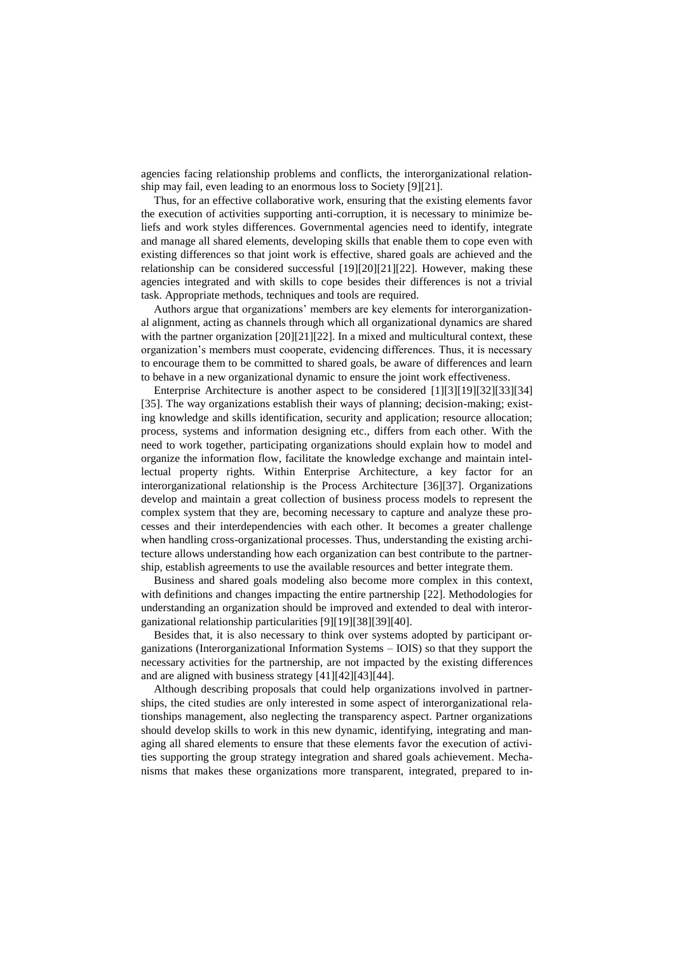agencies facing relationship problems and conflicts, the interorganizational relationship may fail, even leading to an enormous loss to Society [\[9\]](#page-9-8)[\[21\]](#page-10-9).

Thus, for an effective collaborative work, ensuring that the existing elements favor the execution of activities supporting anti-corruption, it is necessary to minimize beliefs and work styles differences. Governmental agencies need to identify, integrate and manage all shared elements, developing skills that enable them to cope even with existing differences so that joint work is effective, shared goals are achieved and the relationship can be considered successful [\[19\]](#page-10-7)[\[20\]](#page-10-8)[\[21\]](#page-10-9)[\[22\]](#page-10-10). However, making these agencies integrated and with skills to cope besides their differences is not a trivial task. Appropriate methods, techniques and tools are required.

Authors argue that organizations' members are key elements for interorganizational alignment, acting as channels through which all organizational dynamics are shared with the partner organization [\[20\]](#page-10-8)[\[21\]](#page-10-9)[\[22\]](#page-10-10). In a mixed and multicultural context, these organization's members must cooperate, evidencing differences. Thus, it is necessary to encourage them to be committed to shared goals, be aware of differences and learn to behave in a new organizational dynamic to ensure the joint work effectiveness.

Enterprise Architecture is another aspect to be considered [\[1\]](#page-9-0)[\[3\]](#page-9-2)[\[19\]](#page-10-7)[\[32\]](#page-11-0)[\[33\]](#page-11-1)[\[34\]](#page-11-2) [\[35\]](#page-11-3). The way organizations establish their ways of planning; decision-making; existing knowledge and skills identification, security and application; resource allocation; process, systems and information designing etc., differs from each other. With the need to work together, participating organizations should explain how to model and organize the information flow, facilitate the knowledge exchange and maintain intellectual property rights. Within Enterprise Architecture, a key factor for an interorganizational relationship is the Process Architecture [\[36\]](#page-11-4)[\[37\]](#page-11-5). Organizations develop and maintain a great collection of business process models to represent the complex system that they are, becoming necessary to capture and analyze these processes and their interdependencies with each other. It becomes a greater challenge when handling cross-organizational processes. Thus, understanding the existing architecture allows understanding how each organization can best contribute to the partnership, establish agreements to use the available resources and better integrate them.

Business and shared goals modeling also become more complex in this context, with definitions and changes impacting the entire partnership [\[22\]](#page-10-10). Methodologies for understanding an organization should be improved and extended to deal with interorganizational relationship particularities [\[9\]](#page-9-8)[\[19\]](#page-10-7)[\[38\]](#page-11-6)[\[39\]](#page-11-7)[\[40\]](#page-11-8).

Besides that, it is also necessary to think over systems adopted by participant organizations (Interorganizational Information Systems – IOIS) so that they support the necessary activities for the partnership, are not impacted by the existing differences and are aligned with business strategy [\[41\]](#page-11-9)[\[42\]](#page-11-10)[\[43\]](#page-11-11)[\[44\]](#page-11-12).

Although describing proposals that could help organizations involved in partnerships, the cited studies are only interested in some aspect of interorganizational relationships management, also neglecting the transparency aspect. Partner organizations should develop skills to work in this new dynamic, identifying, integrating and managing all shared elements to ensure that these elements favor the execution of activities supporting the group strategy integration and shared goals achievement. Mechanisms that makes these organizations more transparent, integrated, prepared to in-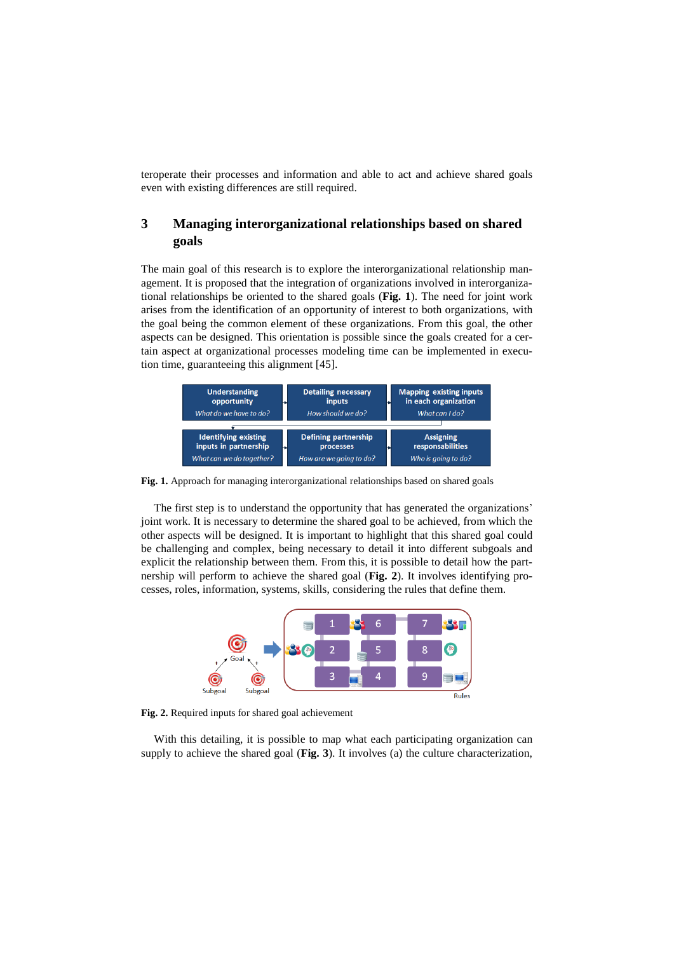teroperate their processes and information and able to act and achieve shared goals even with existing differences are still required.

# **3 Managing interorganizational relationships based on shared goals**

The main goal of this research is to explore the interorganizational relationship management. It is proposed that the integration of organizations involved in interorganizational relationships be oriented to the shared goals (**[Fig. 1](#page-4-0)**). The need for joint work arises from the identification of an opportunity of interest to both organizations, with the goal being the common element of these organizations. From this goal, the other aspects can be designed. This orientation is possible since the goals created for a certain aspect at organizational processes modeling time can be implemented in execution time, guaranteeing this alignment [\[45\]](#page-11-13).



<span id="page-4-0"></span>**Fig. 1.** Approach for managing interorganizational relationships based on shared goals

The first step is to understand the opportunity that has generated the organizations' joint work. It is necessary to determine the shared goal to be achieved, from which the other aspects will be designed. It is important to highlight that this shared goal could be challenging and complex, being necessary to detail it into different subgoals and explicit the relationship between them. From this, it is possible to detail how the partnership will perform to achieve the shared goal (**[Fig. 2](#page-4-1)**). It involves identifying processes, roles, information, systems, skills, considering the rules that define them.



<span id="page-4-1"></span>**Fig. 2.** Required inputs for shared goal achievement

With this detailing, it is possible to map what each participating organization can supply to achieve the shared goal (**[Fig. 3](#page-5-0)**). It involves (a) the culture characterization,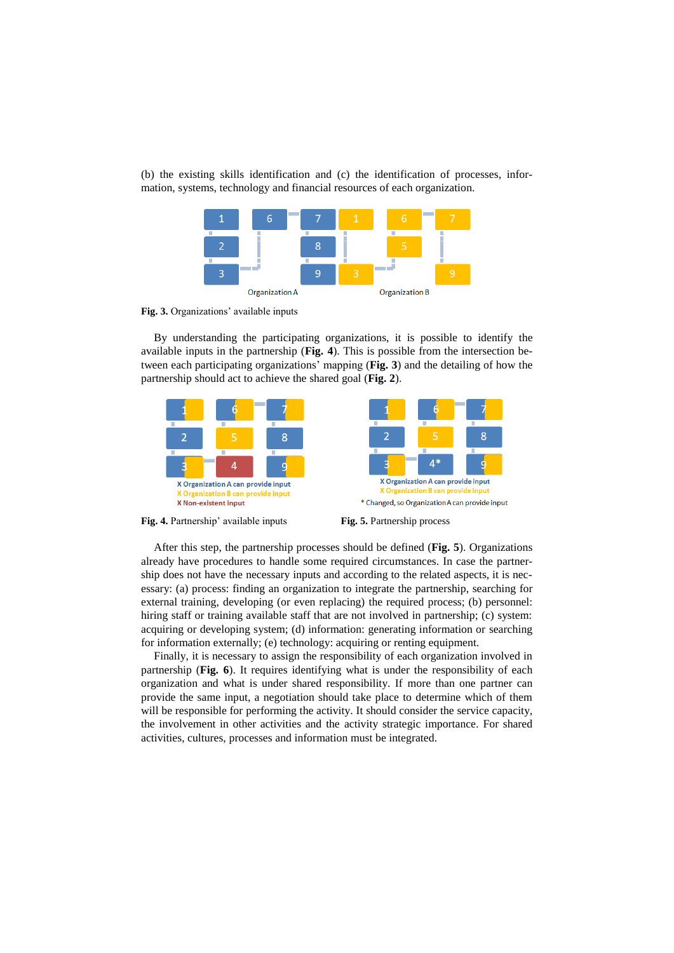(b) the existing skills identification and (c) the identification of processes, information, systems, technology and financial resources of each organization.



<span id="page-5-0"></span>**Fig. 3.** Organizations' available inputs

By understanding the participating organizations, it is possible to identify the available inputs in the partnership (**[Fig. 4](#page-5-1)**). This is possible from the intersection between each participating organizations' mapping (**[Fig. 3](#page-5-0)**) and the detailing of how the partnership should act to achieve the shared goal (**[Fig. 2](#page-4-1)**).





<span id="page-5-1"></span>**Fig. 4.** Partnership' available inputs **Fig. 5.** Partnership process

<span id="page-5-2"></span>

After this step, the partnership processes should be defined (**[Fig. 5](#page-5-2)**). Organizations already have procedures to handle some required circumstances. In case the partnership does not have the necessary inputs and according to the related aspects, it is necessary: (a) process: finding an organization to integrate the partnership, searching for external training, developing (or even replacing) the required process; (b) personnel: hiring staff or training available staff that are not involved in partnership; (c) system: acquiring or developing system; (d) information: generating information or searching for information externally; (e) technology: acquiring or renting equipment.

Finally, it is necessary to assign the responsibility of each organization involved in partnership (**[Fig. 6](#page-6-0)**). It requires identifying what is under the responsibility of each organization and what is under shared responsibility. If more than one partner can provide the same input, a negotiation should take place to determine which of them will be responsible for performing the activity. It should consider the service capacity, the involvement in other activities and the activity strategic importance. For shared activities, cultures, processes and information must be integrated.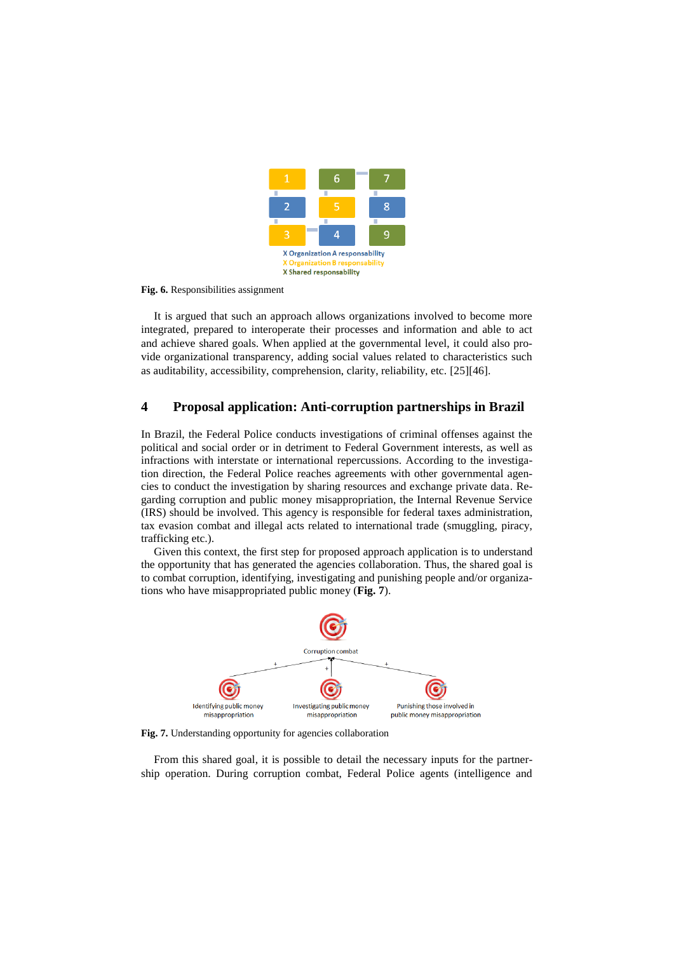

**Fig. 6.** Responsibilities assignment

<span id="page-6-0"></span>It is argued that such an approach allows organizations involved to become more integrated, prepared to interoperate their processes and information and able to act and achieve shared goals. When applied at the governmental level, it could also provide organizational transparency, adding social values related to characteristics such as auditability, accessibility, comprehension, clarity, reliability, etc. [\[25\]](#page-10-13)[\[46\]](#page-11-14).

## **4 Proposal application: Anti-corruption partnerships in Brazil**

In Brazil, the Federal Police conducts investigations of criminal offenses against the political and social order or in detriment to Federal Government interests, as well as infractions with interstate or international repercussions. According to the investigation direction, the Federal Police reaches agreements with other governmental agencies to conduct the investigation by sharing resources and exchange private data. Regarding corruption and public money misappropriation, the Internal Revenue Service (IRS) should be involved. This agency is responsible for federal taxes administration, tax evasion combat and illegal acts related to international trade (smuggling, piracy, trafficking etc.).

Given this context, the first step for proposed approach application is to understand the opportunity that has generated the agencies collaboration. Thus, the shared goal is to combat corruption, identifying, investigating and punishing people and/or organizations who have misappropriated public money (**[Fig. 7](#page-6-1)**).



<span id="page-6-1"></span>**Fig. 7.** Understanding opportunity for agencies collaboration

From this shared goal, it is possible to detail the necessary inputs for the partnership operation. During corruption combat, Federal Police agents (intelligence and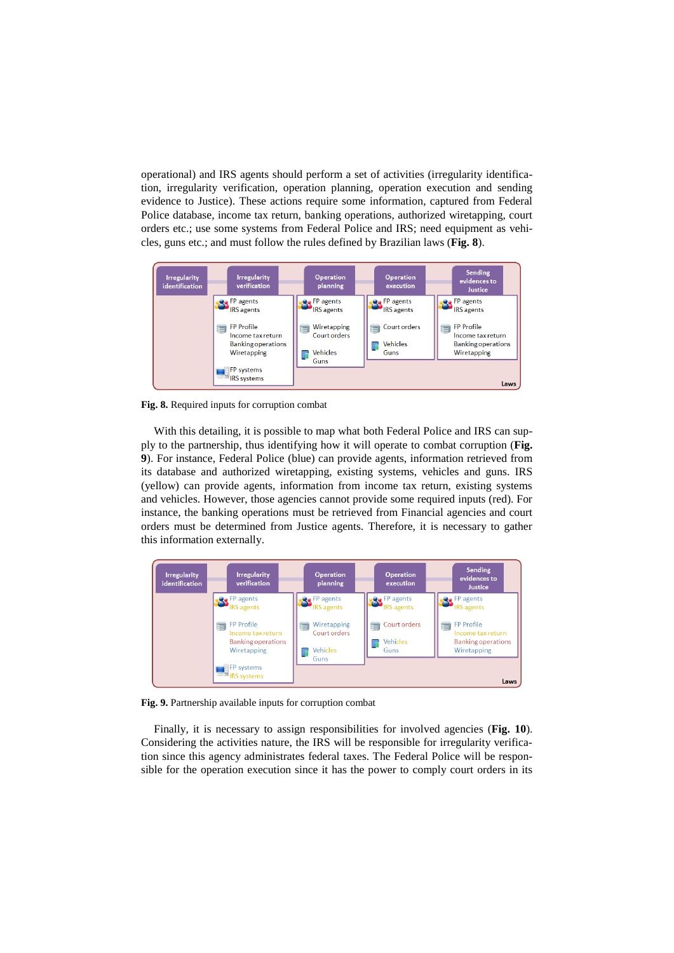operational) and IRS agents should perform a set of activities (irregularity identification, irregularity verification, operation planning, operation execution and sending evidence to Justice). These actions require some information, captured from Federal Police database, income tax return, banking operations, authorized wiretapping, court orders etc.; use some systems from Federal Police and IRS; need equipment as vehicles, guns etc.; and must follow the rules defined by Brazilian laws (**[Fig. 8](#page-7-0)**).



<span id="page-7-0"></span>**Fig. 8.** Required inputs for corruption combat

With this detailing, it is possible to map what both Federal Police and IRS can supply to the partnership, thus identifying how it will operate to combat corruption (**[Fig.](#page-7-1)  [9](#page-7-1)**). For instance, Federal Police (blue) can provide agents, information retrieved from its database and authorized wiretapping, existing systems, vehicles and guns. IRS (yellow) can provide agents, information from income tax return, existing systems and vehicles. However, those agencies cannot provide some required inputs (red). For instance, the banking operations must be retrieved from Financial agencies and court orders must be determined from Justice agents. Therefore, it is necessary to gather this information externally.



<span id="page-7-1"></span>**Fig. 9.** Partnership available inputs for corruption combat

Finally, it is necessary to assign responsibilities for involved agencies (**[Fig. 10](#page-8-0)**). Considering the activities nature, the IRS will be responsible for irregularity verification since this agency administrates federal taxes. The Federal Police will be responsible for the operation execution since it has the power to comply court orders in its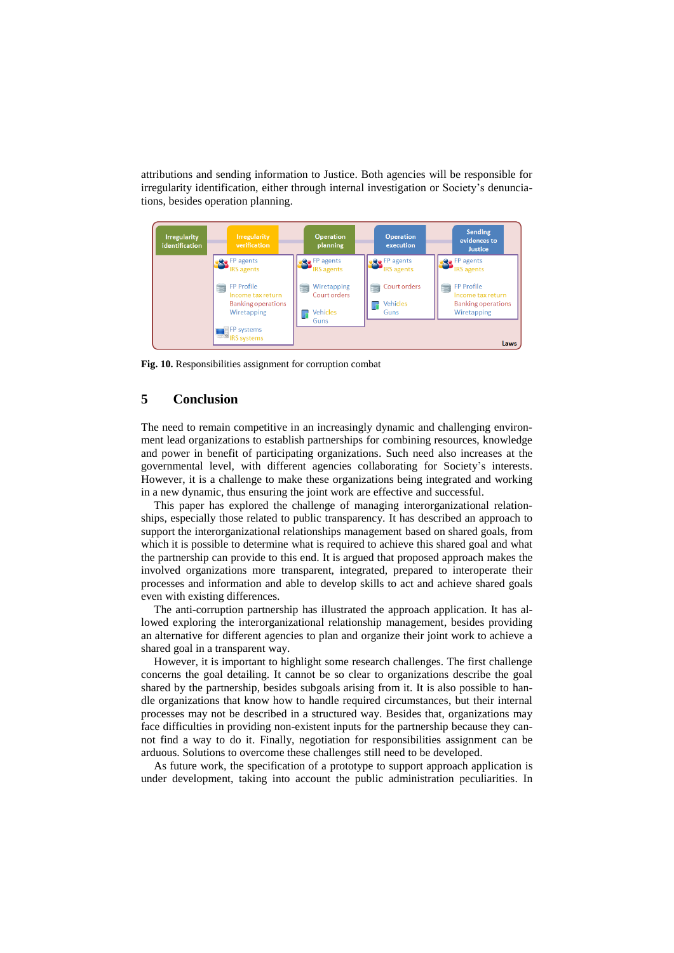attributions and sending information to Justice. Both agencies will be responsible for irregularity identification, either through internal investigation or Society's denunciations, besides operation planning.



<span id="page-8-0"></span>**Fig. 10.** Responsibilities assignment for corruption combat

## **5 Conclusion**

The need to remain competitive in an increasingly dynamic and challenging environment lead organizations to establish partnerships for combining resources, knowledge and power in benefit of participating organizations. Such need also increases at the governmental level, with different agencies collaborating for Society's interests. However, it is a challenge to make these organizations being integrated and working in a new dynamic, thus ensuring the joint work are effective and successful.

This paper has explored the challenge of managing interorganizational relationships, especially those related to public transparency. It has described an approach to support the interorganizational relationships management based on shared goals, from which it is possible to determine what is required to achieve this shared goal and what the partnership can provide to this end. It is argued that proposed approach makes the involved organizations more transparent, integrated, prepared to interoperate their processes and information and able to develop skills to act and achieve shared goals even with existing differences.

The anti-corruption partnership has illustrated the approach application. It has allowed exploring the interorganizational relationship management, besides providing an alternative for different agencies to plan and organize their joint work to achieve a shared goal in a transparent way.

However, it is important to highlight some research challenges. The first challenge concerns the goal detailing. It cannot be so clear to organizations describe the goal shared by the partnership, besides subgoals arising from it. It is also possible to handle organizations that know how to handle required circumstances, but their internal processes may not be described in a structured way. Besides that, organizations may face difficulties in providing non-existent inputs for the partnership because they cannot find a way to do it. Finally, negotiation for responsibilities assignment can be arduous. Solutions to overcome these challenges still need to be developed.

As future work, the specification of a prototype to support approach application is under development, taking into account the public administration peculiarities. In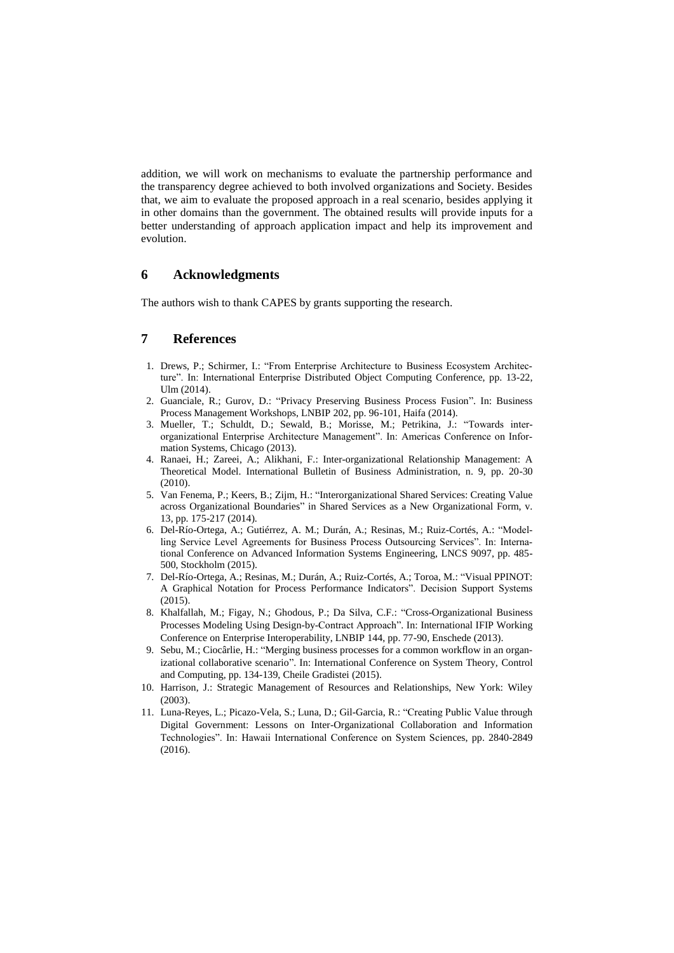addition, we will work on mechanisms to evaluate the partnership performance and the transparency degree achieved to both involved organizations and Society. Besides that, we aim to evaluate the proposed approach in a real scenario, besides applying it in other domains than the government. The obtained results will provide inputs for a better understanding of approach application impact and help its improvement and evolution.

#### **6 Acknowledgments**

The authors wish to thank CAPES by grants supporting the research.

### **7 References**

- <span id="page-9-0"></span>1. Drews, P.; Schirmer, I.: "From Enterprise Architecture to Business Ecosystem Architecture". In: International Enterprise Distributed Object Computing Conference, pp. 13-22, Ulm (2014).
- <span id="page-9-1"></span>2. Guanciale, R.; Gurov, D.: "Privacy Preserving Business Process Fusion". In: Business Process Management Workshops, LNBIP 202, pp. 96-101, Haifa (2014).
- <span id="page-9-2"></span>3. Mueller, T.; Schuldt, D.; Sewald, B.; Morisse, M.; Petrikina, J.: "Towards interorganizational Enterprise Architecture Management". In: Americas Conference on Information Systems, Chicago (2013).
- <span id="page-9-3"></span>4. Ranaei, H.; Zareei, A.; Alikhani, F.: Inter-organizational Relationship Management: A Theoretical Model. International Bulletin of Business Administration, n. 9, pp. 20-30  $(2010)$
- <span id="page-9-4"></span>5. Van Fenema, P.; Keers, B.; Zijm, H.: "Interorganizational Shared Services: Creating Value across Organizational Boundaries" in Shared Services as a New Organizational Form, v. 13, pp. 175-217 (2014).
- <span id="page-9-5"></span>6. Del-Río-Ortega, A.; Gutiérrez, A. M.; Durán, A.; Resinas, M.; Ruiz-Cortés, A.: "Modelling Service Level Agreements for Business Process Outsourcing Services". In: International Conference on Advanced Information Systems Engineering, LNCS 9097, pp. 485- 500, Stockholm (2015).
- <span id="page-9-6"></span>7. Del-Río-Ortega, A.; Resinas, M.; Durán, A.; Ruiz-Cortés, A.; Toroa, M.: "Visual PPINOT: A Graphical Notation for Process Performance Indicators". Decision Support Systems (2015).
- <span id="page-9-7"></span>8. Khalfallah, M.; Figay, N.; Ghodous, P.; Da Silva, C.F.: "Cross-Organizational Business Processes Modeling Using Design-by-Contract Approach". In: International IFIP Working Conference on Enterprise Interoperability, LNBIP 144, pp. 77-90, Enschede (2013).
- <span id="page-9-8"></span>9. Sebu, M.; Ciocârlie, H.: "Merging business processes for a common workflow in an organizational collaborative scenario". In: International Conference on System Theory, Control and Computing, pp. 134-139, Cheile Gradistei (2015).
- <span id="page-9-9"></span>10. Harrison, J.: Strategic Management of Resources and Relationships, New York: Wiley (2003).
- <span id="page-9-10"></span>11. Luna-Reyes, L.; Picazo-Vela, S.; Luna, D.; Gil-Garcia, R.: "Creating Public Value through Digital Government: Lessons on Inter-Organizational Collaboration and Information Technologies". In: Hawaii International Conference on System Sciences, pp. 2840-2849 (2016).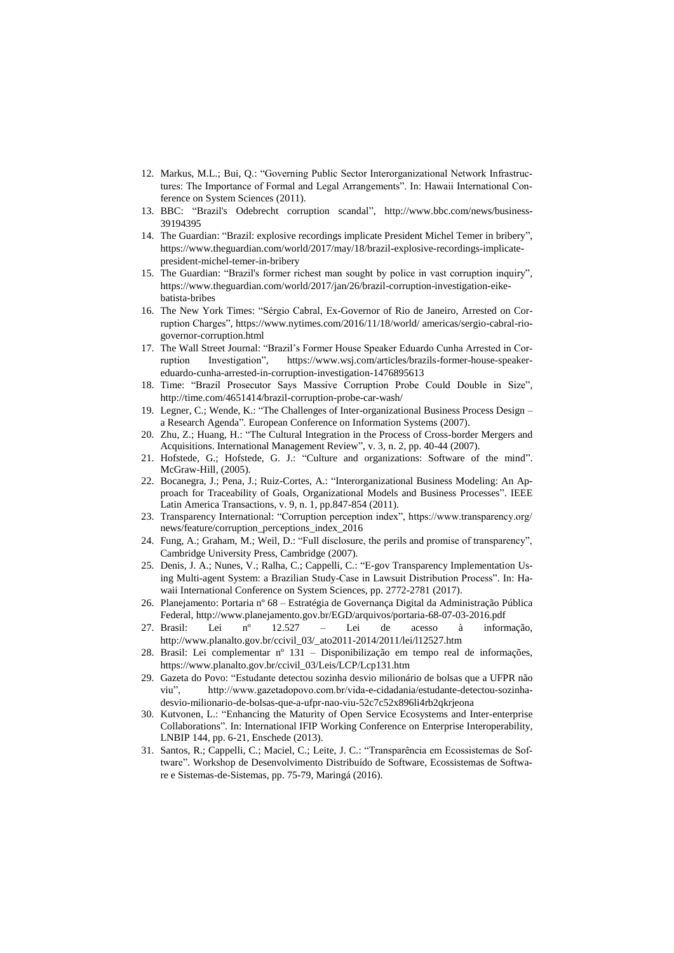- <span id="page-10-0"></span>12. Markus, M.L.; Bui, Q.: "Governing Public Sector Interorganizational Network Infrastructures: The Importance of Formal and Legal Arrangements". In: Hawaii International Conference on System Sciences (2011).
- <span id="page-10-1"></span>13. BBC: "Brazil's Odebrecht corruption scandal", http://www.bbc.com/news/business-39194395
- <span id="page-10-2"></span>14. The Guardian: "Brazil: explosive recordings implicate President Michel Temer in bribery", https://www.theguardian.com/world/2017/may/18/brazil-explosive-recordings-implicatepresident-michel-temer-in-bribery
- <span id="page-10-3"></span>15. The Guardian: "Brazil's former richest man sought by police in vast corruption inquiry", https://www.theguardian.com/world/2017/jan/26/brazil-corruption-investigation-eikebatista-bribes
- <span id="page-10-4"></span>16. The New York Times: "Sérgio Cabral, Ex-Governor of Rio de Janeiro, Arrested on Corruption Charges", https://www.nytimes.com/2016/11/18/world/ americas/sergio-cabral-riogovernor-corruption.html
- <span id="page-10-5"></span>17. The Wall Street Journal: "Brazil's Former House Speaker Eduardo Cunha Arrested in Corruption Investigation", https://www.wsj.com/articles/brazils-former-house-speakereduardo-cunha-arrested-in-corruption-investigation-1476895613
- <span id="page-10-6"></span>18. Time: "Brazil Prosecutor Says Massive Corruption Probe Could Double in Size", <http://time.com/4651414/brazil-corruption-probe-car-wash/>
- <span id="page-10-7"></span>19. Legner, C.; Wende, K.: "The Challenges of Inter-organizational Business Process Design – a Research Agenda". European Conference on Information Systems (2007).
- <span id="page-10-8"></span>20. Zhu, Z.; Huang, H.: "The Cultural Integration in the Process of Cross-border Mergers and Acquisitions. International Management Review", v. 3, n. 2, pp. 40-44 (2007).
- <span id="page-10-9"></span>21. Hofstede, G.; Hofstede, G. J.: "Culture and organizations: Software of the mind". McGraw-Hill, (2005).
- <span id="page-10-10"></span>22. Bocanegra, J.; Pena, J.; Ruiz-Cortes, A.: "Interorganizational Business Modeling: An Approach for Traceability of Goals, Organizational Models and Business Processes". IEEE Latin America Transactions, v. 9, n. 1, pp.847-854 (2011).
- <span id="page-10-11"></span>23. Transparency International: "Corruption perception index", https://www.transparency.org/ news/feature/corruption\_perceptions\_index\_2016
- <span id="page-10-12"></span>24. Fung, A.; Graham, M.; Weil, D.: "Full disclosure, the perils and promise of transparency", Cambridge University Press, Cambridge (2007).
- <span id="page-10-13"></span>25. Denis, J. A.; Nunes, V.; Ralha, C.; Cappelli, C.: "E-gov Transparency Implementation Using Multi-agent System: a Brazilian Study-Case in Lawsuit Distribution Process". In: Hawaii International Conference on System Sciences, pp. 2772-2781 (2017).
- <span id="page-10-14"></span>26. Planejamento: Portaria nº 68 – Estratégia de Governança Digital da Administração Pública Federal, http://www.planejamento.gov.br/EGD/arquivos/portaria-68-07-03-2016.pdf
- <span id="page-10-15"></span>27. Brasil: Lei nº 12.527 – Lei de acesso à informação, [http://www.planalto.gov.br/c](http://www.planalto.gov.br/)civil\_03/\_ato2011-2014/2011/lei/l12527.htm
- <span id="page-10-16"></span>28. Brasil: Lei complementar nº 131 – Disponibilização em tempo real de informações, [https://www.planalto.gov.br/ccivil\\_03/Leis/LCP/Lcp131.htm](https://www.planalto.gov.br/ccivil_03/Leis/LCP/Lcp131.htm)
- <span id="page-10-17"></span>29. Gazeta do Povo: "Estudante detectou sozinha desvio milionário de bolsas que a UFPR não viu", http://www.gazetadopovo.com.br/vida-e-cidadania/estudante-detectou-sozinhadesvio-milionario-de-bolsas-que-a-ufpr-nao-viu-52c7c52x896li4rb2qkrjeona
- <span id="page-10-18"></span>30. Kutvonen, L.: "Enhancing the Maturity of Open Service Ecosystems and Inter-enterprise Collaborations". In: International IFIP Working Conference on Enterprise Interoperability, LNBIP 144, pp. 6-21, Enschede (2013).
- <span id="page-10-19"></span>31. Santos, R.; Cappelli, C.; Maciel, C.; Leite, J. C.: "Transparência em Ecossistemas de Software". Workshop de Desenvolvimento Distribuído de Software, Ecossistemas de Software e Sistemas-de-Sistemas, pp. 75-79, Maringá (2016).